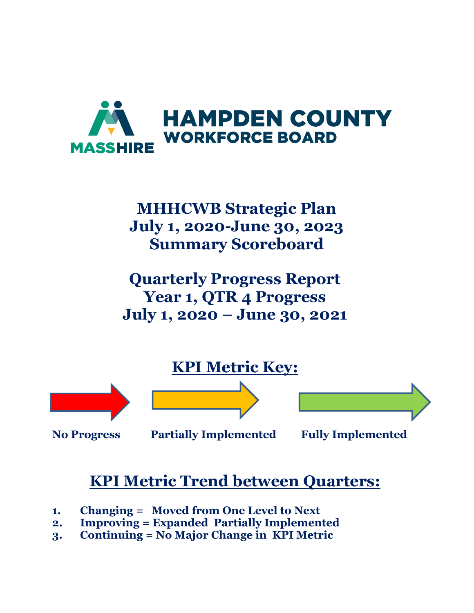

# **MHHCWB Strategic Plan July 1, 2020-June 30, 2023 Summary Scoreboard**

**Quarterly Progress Report Year 1, QTR 4 Progress July 1, 2020 – June 30, 2021**



**No Progress Partially Implemented Fully Implemented** 

# **KPI Metric Trend between Quarters:**

- **1. Changing = Moved from One Level to Next**
- **2. Improving = Expanded Partially Implemented**
- **3. Continuing = No Major Change in KPI Metric**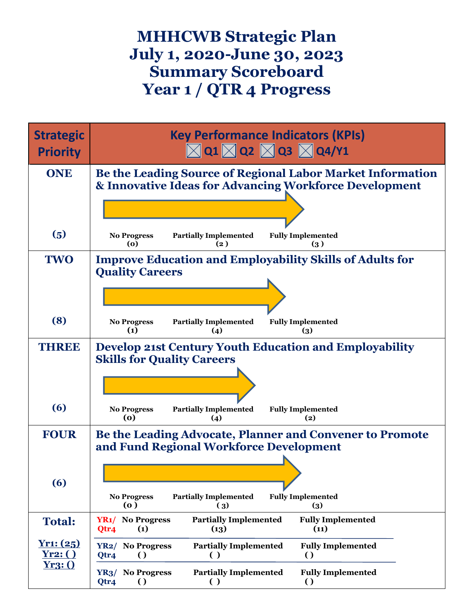## **MHHCWB Strategic Plan July 1, 2020-June 30, 2023 Summary Scoreboard Year 1 / QTR 4 Progress**

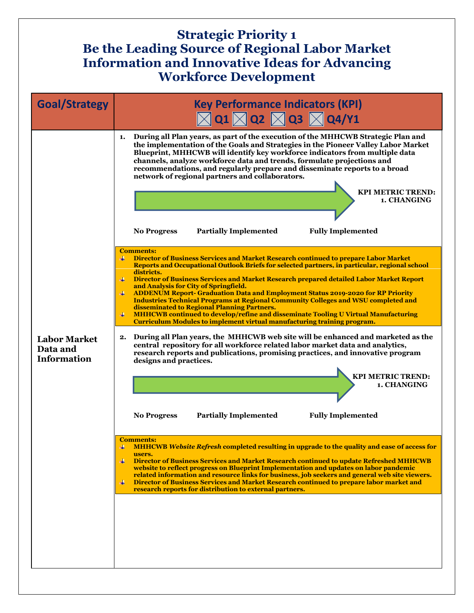#### **Strategic Priority 1 Be the Leading Source of Regional Labor Market Information and Innovative Ideas for Advancing Workforce Development**

| <b>Goal/Strategy</b>                                  | <b>Key Performance Indicators (KPI)</b><br>$\boxtimes$ Q1 $\boxtimes$ Q2 $\boxtimes$ Q3 $\boxtimes$ Q4/Y1                                                                                                                                                                                                                                                                                                                                                                                                                                                                                                                                                                                                                                                                                                                                                                                                                                                                                                                                                                                                                                                                                                               |
|-------------------------------------------------------|-------------------------------------------------------------------------------------------------------------------------------------------------------------------------------------------------------------------------------------------------------------------------------------------------------------------------------------------------------------------------------------------------------------------------------------------------------------------------------------------------------------------------------------------------------------------------------------------------------------------------------------------------------------------------------------------------------------------------------------------------------------------------------------------------------------------------------------------------------------------------------------------------------------------------------------------------------------------------------------------------------------------------------------------------------------------------------------------------------------------------------------------------------------------------------------------------------------------------|
|                                                       | During all Plan years, as part of the execution of the MHHCWB Strategic Plan and<br>1.<br>the implementation of the Goals and Strategies in the Pioneer Valley Labor Market<br>Blueprint, MHHCWB will identify key workforce indicators from multiple data<br>channels, analyze workforce data and trends, formulate projections and<br>recommendations, and regularly prepare and disseminate reports to a broad<br>network of regional partners and collaborators.<br><b>KPI METRIC TREND:</b><br>1. CHANGING                                                                                                                                                                                                                                                                                                                                                                                                                                                                                                                                                                                                                                                                                                         |
|                                                       | <b>Partially Implemented</b><br><b>Fully Implemented</b><br><b>No Progress</b>                                                                                                                                                                                                                                                                                                                                                                                                                                                                                                                                                                                                                                                                                                                                                                                                                                                                                                                                                                                                                                                                                                                                          |
| <b>Labor Market</b><br>Data and<br><b>Information</b> | <b>Comments:</b><br>₩.<br>Director of Business Services and Market Research continued to prepare Labor Market<br>Reports and Occupational Outlook Briefs for selected partners, in particular, regional school<br>districts.<br>4<br>Director of Business Services and Market Research prepared detailed Labor Market Report<br>and Analysis for City of Springfield.<br>4<br><b>ADDENUM Report- Graduation Data and Employment Status 2019-2020 for RP Priority</b><br><b>Industries Technical Programs at Regional Community Colleges and WSU completed and</b><br>disseminated to Regional Planning Partners.<br><b>MHHCWB continued to develop/refine and disseminate Tooling U Virtual Manufacturing</b><br>₩<br><b>Curriculum Modules to implement virtual manufacturing training program.</b><br>During all Plan years, the MHHCWB web site will be enhanced and marketed as the<br>2.<br>central repository for all workforce related labor market data and analytics,<br>research reports and publications, promising practices, and innovative program<br>designs and practices.<br><b>KPI METRIC TREND:</b><br>1. CHANGING<br><b>Fully Implemented</b><br><b>Partially Implemented</b><br><b>No Progress</b> |
|                                                       | <b>Comments:</b><br>MHHCWB Website Refresh completed resulting in upgrade to the quality and ease of access for<br>4<br>users.<br>4<br>Director of Business Services and Market Research continued to update Refreshed MHHCWB<br>website to reflect progress on Blueprint Implementation and updates on labor pandemic<br>related information and resource links for business, job seekers and general web site viewers.<br>Director of Business Services and Market Research continued to prepare labor market and<br>₩                                                                                                                                                                                                                                                                                                                                                                                                                                                                                                                                                                                                                                                                                                |
|                                                       | research reports for distribution to external partners.                                                                                                                                                                                                                                                                                                                                                                                                                                                                                                                                                                                                                                                                                                                                                                                                                                                                                                                                                                                                                                                                                                                                                                 |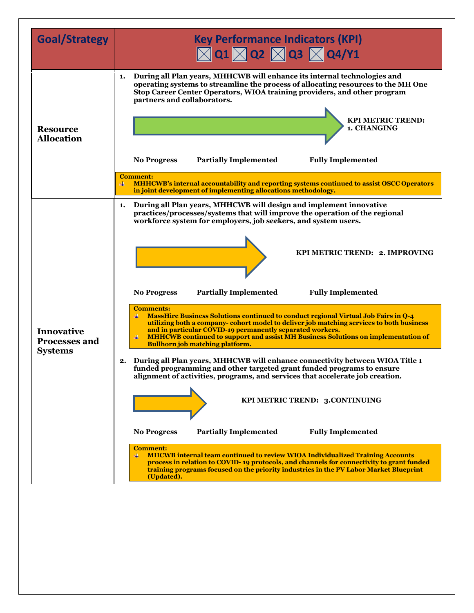| <b>Goal/Strategy</b>                                        | <b>Key Performance Indicators (KPI)</b><br>$\boxtimes$ Q1 $\boxtimes$ Q2 $\boxtimes$ Q3 $\boxtimes$ Q4/Y1                                                                                                                                                                                                                                                                                                                                                                                                                                                                                                                                                                                                                                                                                                                                                                                                                                                                                                                                                                                     |
|-------------------------------------------------------------|-----------------------------------------------------------------------------------------------------------------------------------------------------------------------------------------------------------------------------------------------------------------------------------------------------------------------------------------------------------------------------------------------------------------------------------------------------------------------------------------------------------------------------------------------------------------------------------------------------------------------------------------------------------------------------------------------------------------------------------------------------------------------------------------------------------------------------------------------------------------------------------------------------------------------------------------------------------------------------------------------------------------------------------------------------------------------------------------------|
| <b>Resource</b><br><b>Allocation</b>                        | During all Plan years, MHHCWB will enhance its internal technologies and<br>1.<br>operating systems to streamline the process of allocating resources to the MH One<br>Stop Career Center Operators, WIOA training providers, and other program<br>partners and collaborators.<br><b>KPI METRIC TREND:</b><br>1. CHANGING<br><b>Partially Implemented</b><br><b>Fully Implemented</b><br><b>No Progress</b><br><b>Comment:</b><br>MHHCWB's internal accountability and reporting systems continued to assist OSCC Operators<br>₩                                                                                                                                                                                                                                                                                                                                                                                                                                                                                                                                                              |
| <b>Innovative</b><br><b>Processes and</b><br><b>Systems</b> | in joint development of implementing allocations methodology.<br>During all Plan years, MHHCWB will design and implement innovative<br>1.<br>practices/processes/systems that will improve the operation of the regional<br>workforce system for employers, job seekers, and system users.<br>KPI METRIC TREND: 2. IMPROVING<br><b>Partially Implemented</b><br><b>Fully Implemented</b><br><b>No Progress</b>                                                                                                                                                                                                                                                                                                                                                                                                                                                                                                                                                                                                                                                                                |
|                                                             | <b>Comments:</b><br><b>MassHire Business Solutions continued to conduct regional Virtual Job Fairs in Q-4</b><br>utilizing both a company-cohort model to deliver job matching services to both business<br>and in particular COVID-19 permanently separated workers.<br><b>MHHCWB</b> continued to support and assist MH Business Solutions on implementation of<br><b>Bullhorn job matching platform.</b><br>During all Plan years, MHHCWB will enhance connectivity between WIOA Title 1<br>2.<br>funded programming and other targeted grant funded programs to ensure<br>alignment of activities, programs, and services that accelerate job creation.<br>KPI METRIC TREND: 3.CONTINUING<br><b>Fully Implemented</b><br><b>No Progress</b><br><b>Partially Implemented</b><br><b>Comment:</b><br><b>MHCWB</b> internal team continued to review WIOA Individualized Training Accounts<br>process in relation to COVID-19 protocols, and channels for connectivity to grant funded<br>training programs focused on the priority industries in the PV Labor Market Blueprint<br>(Updated). |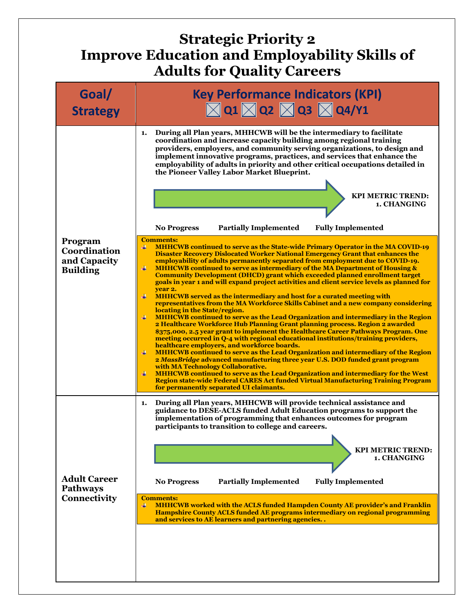## **Strategic Priority 2 Improve Education and Employability Skills of Adults for Quality Careers**

| Goal/<br><b>Strategy</b>                                   | <b>Key Performance Indicators (KPI)</b><br>$\boxtimes$ Q1 $\boxtimes$ Q2 $\boxtimes$ Q3 $\boxtimes$ Q4/Y1                                                                                                                                                                                                                                                                                                                                                                                                                                                                                                                                                                                                                                                                                                                                                                                                                                                                                                                                                                                                                                                                                                                                                                                                                                                                                                                                                                                                                                                                                                                                                                        |
|------------------------------------------------------------|----------------------------------------------------------------------------------------------------------------------------------------------------------------------------------------------------------------------------------------------------------------------------------------------------------------------------------------------------------------------------------------------------------------------------------------------------------------------------------------------------------------------------------------------------------------------------------------------------------------------------------------------------------------------------------------------------------------------------------------------------------------------------------------------------------------------------------------------------------------------------------------------------------------------------------------------------------------------------------------------------------------------------------------------------------------------------------------------------------------------------------------------------------------------------------------------------------------------------------------------------------------------------------------------------------------------------------------------------------------------------------------------------------------------------------------------------------------------------------------------------------------------------------------------------------------------------------------------------------------------------------------------------------------------------------|
| Program<br>Coordination<br>and Capacity<br><b>Building</b> | During all Plan years, MHHCWB will be the intermediary to facilitate<br>1.<br>coordination and increase capacity building among regional training<br>providers, employers, and community serving organizations, to design and<br>implement innovative programs, practices, and services that enhance the<br>employability of adults in priority and other critical occupations detailed in<br>the Pioneer Valley Labor Market Blueprint.<br><b>KPI METRIC TREND:</b><br>1. CHANGING<br><b>Partially Implemented</b><br><b>Fully Implemented</b><br><b>No Progress</b>                                                                                                                                                                                                                                                                                                                                                                                                                                                                                                                                                                                                                                                                                                                                                                                                                                                                                                                                                                                                                                                                                                            |
|                                                            | <b>Comments:</b><br><b>MHHCWB continued to serve as the State-wide Primary Operator in the MA COVID-19</b><br>₩.<br><b>Disaster Recovery Dislocated Worker National Emergency Grant that enhances the</b><br>employability of adults permanently separated from employment due to COVID-19.<br>$\ddotplus$<br><b>MHHCWB</b> continued to serve as intermediary of the MA Department of Housing &<br><b>Community Development (DHCD) grant which exceeded planned enrollment target</b><br>goals in year 1 and will expand project activities and client service levels as planned for<br>vear 2.<br>$\ddot{}$<br><b>MHHCWB</b> served as the intermediary and host for a curated meeting with<br>representatives from the MA Workforce Skills Cabinet and a new company considering<br>locating in the State/region.<br>$\ddot{}$<br>MHHCWB continued to serve as the Lead Organization and intermediary in the Region<br>2 Healthcare Workforce Hub Planning Grant planning process. Region 2 awarded<br>\$375,000, 2.5 year grant to implement the Healthcare Career Pathways Program. One<br>meeting occurred in Q-4 with regional educational institutions/training providers,<br>healthcare employers, and workforce boards.<br>4<br>MHHCWB continued to serve as the Lead Organization and intermediary of the Region<br>2 MassBridge advanced manufacturing three year U.S. DOD funded grant program<br>with MA Technology Collaborative.<br><b>MHHCWB</b> continued to serve as the Lead Organization and intermediary for the West<br>₩<br>Region state-wide Federal CARES Act funded Virtual Manufacturing Training Program<br>for permanently separated UI claimants. |
| <b>Adult Career</b><br><b>Pathways</b><br>Connectivity     | During all Plan years, MHHCWB will provide technical assistance and<br>1.<br>guidance to DESE-ACLS funded Adult Education programs to support the<br>implementation of programming that enhances outcomes for program<br>participants to transition to college and careers.<br><b>KPI METRIC TREND:</b><br>1. CHANGING<br><b>Fully Implemented</b><br><b>No Progress</b><br><b>Partially Implemented</b><br><b>Comments:</b><br><b>MHHCWB worked with the ACLS funded Hampden County AE provider's and Franklin</b><br>₩<br><b>Hampshire County ACLS funded AE programs intermediary on regional programming</b><br>and services to AE learners and partnering agencies                                                                                                                                                                                                                                                                                                                                                                                                                                                                                                                                                                                                                                                                                                                                                                                                                                                                                                                                                                                                          |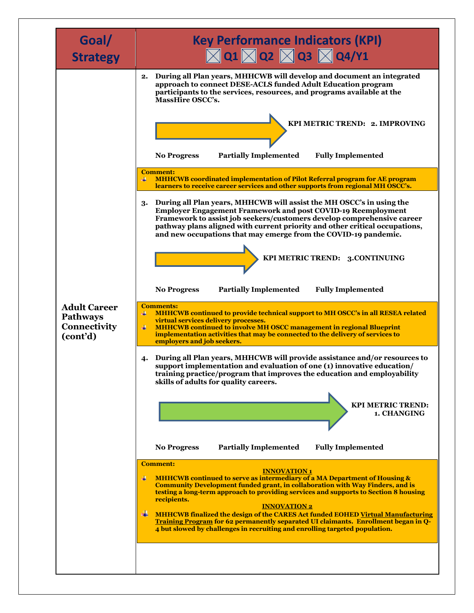| Goal/<br><b>Strategy</b>                                           | <b>Key Performance Indicators (KPI)</b><br>$\boxtimes$ Q1 $\boxtimes$ Q2 $\boxtimes$ Q3 $\boxtimes$ Q4/Y1                                                                                                                                                                                                                                                                                                                                                                                                                                                                                                           |
|--------------------------------------------------------------------|---------------------------------------------------------------------------------------------------------------------------------------------------------------------------------------------------------------------------------------------------------------------------------------------------------------------------------------------------------------------------------------------------------------------------------------------------------------------------------------------------------------------------------------------------------------------------------------------------------------------|
|                                                                    | During all Plan years, MHHCWB will develop and document an integrated<br>2.<br>approach to connect DESE-ACLS funded Adult Education program<br>participants to the services, resources, and programs available at the<br>MassHire OSCC's.<br>KPI METRIC TREND: 2. IMPROVING                                                                                                                                                                                                                                                                                                                                         |
|                                                                    | <b>Partially Implemented</b><br><b>Fully Implemented</b><br><b>No Progress</b>                                                                                                                                                                                                                                                                                                                                                                                                                                                                                                                                      |
|                                                                    | <b>Comment:</b><br><b>MHHCWB</b> coordinated implementation of Pilot Referral program for AE program<br>₩<br>learners to receive career services and other supports from regional MH OSCC's.                                                                                                                                                                                                                                                                                                                                                                                                                        |
|                                                                    | During all Plan years, MHHCWB will assist the MH OSCC's in using the<br>3.<br><b>Employer Engagement Framework and post COVID-19 Reemployment</b><br>Framework to assist job seekers/customers develop comprehensive career<br>pathway plans aligned with current priority and other critical occupations,<br>and new occupations that may emerge from the COVID-19 pandemic.                                                                                                                                                                                                                                       |
|                                                                    | KPI METRIC TREND: 3.CONTINUING                                                                                                                                                                                                                                                                                                                                                                                                                                                                                                                                                                                      |
|                                                                    | <b>Fully Implemented</b><br><b>Partially Implemented</b><br><b>No Progress</b>                                                                                                                                                                                                                                                                                                                                                                                                                                                                                                                                      |
| <b>Adult Career</b><br><b>Pathways</b><br>Connectivity<br>(cont'd) | <b>Comments:</b><br>MHHCWB continued to provide technical support to MH OSCC's in all RESEA related<br>4<br>virtual services delivery processes.<br>$\ddot{}$<br><b>MHHCWB</b> continued to involve MH OSCC management in regional Blueprint<br>implementation activities that may be connected to the delivery of services to<br>employers and job seekers.                                                                                                                                                                                                                                                        |
|                                                                    | During all Plan years, MHHCWB will provide assistance and/or resources to<br>4.<br>support implementation and evaluation of one (1) innovative education/<br>training practice/program that improves the education and employability<br>skills of adults for quality careers.                                                                                                                                                                                                                                                                                                                                       |
|                                                                    | <b>KPI METRIC TREND:</b><br>1. CHANGING                                                                                                                                                                                                                                                                                                                                                                                                                                                                                                                                                                             |
|                                                                    | <b>Partially Implemented</b><br><b>Fully Implemented</b><br><b>No Progress</b>                                                                                                                                                                                                                                                                                                                                                                                                                                                                                                                                      |
|                                                                    | <b>Comment:</b><br><b>INNOVATION 1</b><br>$\ddot{}$<br>MHHCWB continued to serve as intermediary of a MA Department of Housing &<br><b>Community Development funded grant, in collaboration with Way Finders, and is</b><br>testing a long-term approach to providing services and supports to Section 8 housing<br>recipients.<br><b>INNOVATION 2</b><br>₩<br>MHHCWB finalized the design of the CARES Act funded EOHED Virtual Manufacturing<br>Training Program for 62 permanently separated UI claimants. Enrollment began in Q-<br>4 but slowed by challenges in recruiting and enrolling targeted population. |
|                                                                    |                                                                                                                                                                                                                                                                                                                                                                                                                                                                                                                                                                                                                     |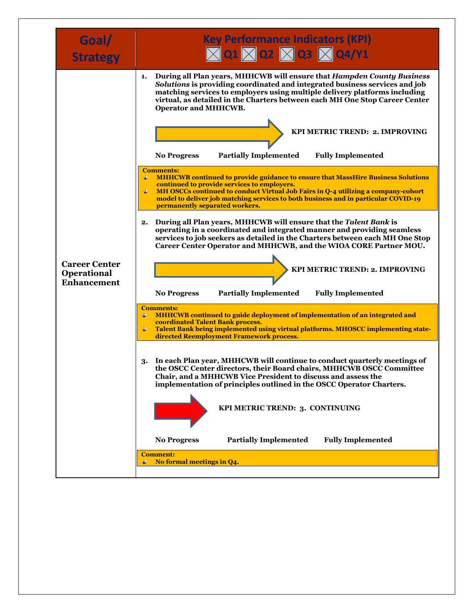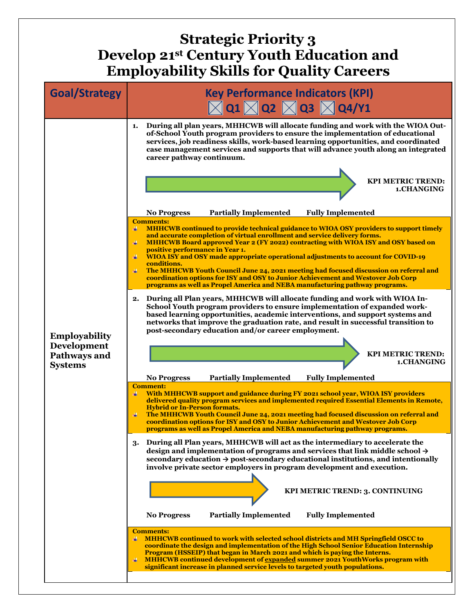## **Strategic Priority 3 Develop 21st Century Youth Education and Employability Skills for Quality Careers**

| <b>Goal/Strategy</b>                                                         | <b>Key Performance Indicators (KPI)</b><br>$\boxtimes$ Q1 $\boxtimes$ Q2 $\boxtimes$ Q3 $\boxtimes$ Q4/Y1                                                                                                                                                                                                                                                                                                                                                                                                                                                                                                                                                                                 |
|------------------------------------------------------------------------------|-------------------------------------------------------------------------------------------------------------------------------------------------------------------------------------------------------------------------------------------------------------------------------------------------------------------------------------------------------------------------------------------------------------------------------------------------------------------------------------------------------------------------------------------------------------------------------------------------------------------------------------------------------------------------------------------|
|                                                                              | During all plan years, MHHCWB will allocate funding and work with the WIOA Out-<br>1.<br>of-School Youth program providers to ensure the implementation of educational<br>services, job readiness skills, work-based learning opportunities, and coordinated<br>case management services and supports that will advance youth along an integrated<br>career pathway continuum.<br><b>KPI METRIC TREND:</b>                                                                                                                                                                                                                                                                                |
|                                                                              | 1.CHANGING                                                                                                                                                                                                                                                                                                                                                                                                                                                                                                                                                                                                                                                                                |
|                                                                              | <b>Partially Implemented</b><br><b>Fully Implemented</b><br><b>No Progress</b>                                                                                                                                                                                                                                                                                                                                                                                                                                                                                                                                                                                                            |
| <b>Employability</b><br><b>Development</b><br>Pathways and<br><b>Systems</b> | <b>Comments:</b><br>MHHCWB continued to provide technical guidance to WIOA OSY providers to support timely<br>₩<br>and accurate completion of virtual enrollment and service delivery forms.<br>MHHCWB Board approved Year 2 (FY 2022) contracting with WIOA ISY and OSY based on<br>positive performance in Year 1.<br>WIOA ISY and OSY made appropriate operational adjustments to account for COVID-19<br>₩<br>conditions.<br>The MHHCWB Youth Council June 24, 2021 meeting had focused discussion on referral and<br>coordination options for ISY and OSY to Junior Achievement and Westover Job Corp<br>programs as well as Propel America and NEBA manufacturing pathway programs. |
|                                                                              | During all Plan years, MHHCWB will allocate funding and work with WIOA In-<br>2.<br>School Youth program providers to ensure implementation of expanded work-<br>based learning opportunities, academic interventions, and support systems and<br>networks that improve the graduation rate, and result in successful transition to<br>post-secondary education and/or career employment.                                                                                                                                                                                                                                                                                                 |
|                                                                              | <b>KPI METRIC TREND:</b><br>1.CHANGING                                                                                                                                                                                                                                                                                                                                                                                                                                                                                                                                                                                                                                                    |
|                                                                              | <b>Fully Implemented</b><br><b>No Progress</b><br><b>Partially Implemented</b>                                                                                                                                                                                                                                                                                                                                                                                                                                                                                                                                                                                                            |
|                                                                              | <b>Comment:</b><br>With MHHCWB support and guidance during FY 2021 school year, WIOA ISY providers<br>₩<br>delivered quality program services and implemented required Essential Elements in Remote,<br><b>Hybrid or In-Person formats.</b><br>₩<br>The MHHCWB Youth Council June 24, 2021 meeting had focused discussion on referral and<br>coordination options for ISY and OSY to Junior Achievement and Westover Job Corp<br><u>programs as well as Propel America and NEBA manufacturing pathway programs.</u>                                                                                                                                                                       |
|                                                                              | During all Plan years, MHHCWB will act as the intermediary to accelerate the<br>3.<br>design and implementation of programs and services that link middle school $\rightarrow$<br>secondary education $\rightarrow$ post-secondary educational institutions, and intentionally<br>involve private sector employers in program development and execution.                                                                                                                                                                                                                                                                                                                                  |
|                                                                              | KPI METRIC TREND: 3. CONTINUING                                                                                                                                                                                                                                                                                                                                                                                                                                                                                                                                                                                                                                                           |
|                                                                              | <b>Partially Implemented</b><br><b>Fully Implemented</b><br><b>No Progress</b>                                                                                                                                                                                                                                                                                                                                                                                                                                                                                                                                                                                                            |
|                                                                              | <b>Comments:</b><br><b>MHHCWB</b> continued to work with selected school districts and MH Springfield OSCC to<br>coordinate the design and implementation of the High School Senior Education Internship<br>Program (HSSEIP) that began in March 2021 and which is paying the Interns.<br>MHHCWB continued development of expanded summer 2021 YouthWorks program with<br>₩<br>significant increase in planned service levels to targeted youth populations.                                                                                                                                                                                                                              |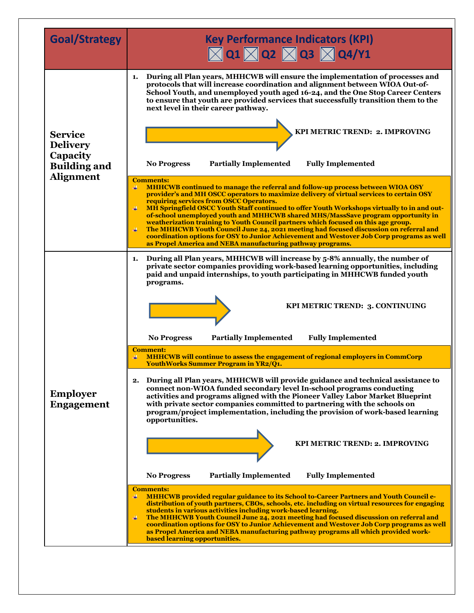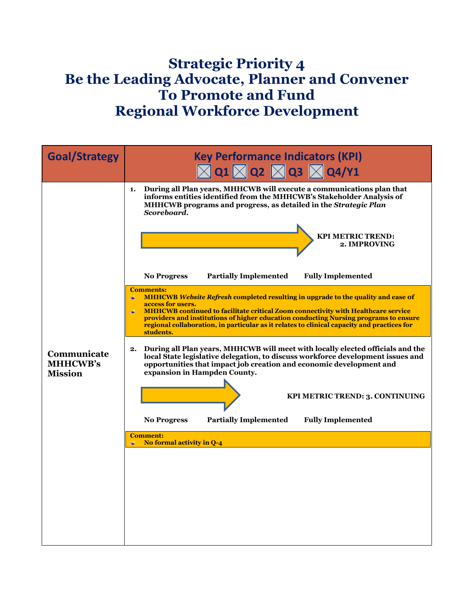## **Strategic Priority 4 Be the Leading Advocate, Planner and Convener To Promote and Fund Regional Workforce Development**

| <b>Goal/Strategy</b>                             | <b>Key Performance Indicators (KPI)</b><br>$\boxtimes$ Q1 $\boxtimes$ Q2 $\boxtimes$ Q3 $\boxtimes$ Q4/Y1                                                                                                                                                                                                                                                                                                                                                                                                                                                                                                                                                                                                                                                                                                                                                                                                                                                                                                                                                                                                                                                                                                                                                                |
|--------------------------------------------------|--------------------------------------------------------------------------------------------------------------------------------------------------------------------------------------------------------------------------------------------------------------------------------------------------------------------------------------------------------------------------------------------------------------------------------------------------------------------------------------------------------------------------------------------------------------------------------------------------------------------------------------------------------------------------------------------------------------------------------------------------------------------------------------------------------------------------------------------------------------------------------------------------------------------------------------------------------------------------------------------------------------------------------------------------------------------------------------------------------------------------------------------------------------------------------------------------------------------------------------------------------------------------|
| Communicate<br><b>MHHCWB's</b><br><b>Mission</b> | During all Plan years, MHHCWB will execute a communications plan that<br>1.<br>informs entities identified from the MHHCWB's Stakeholder Analysis of<br>MHHCWB programs and progress, as detailed in the Strategic Plan<br>Scoreboard.<br><b>KPI METRIC TREND:</b><br>2. IMPROVING<br><b>Partially Implemented</b><br><b>Fully Implemented</b><br><b>No Progress</b><br><b>Comments:</b><br><b>MHHCWB</b> Website Refresh completed resulting in upgrade to the quality and ease of<br>₩<br>access for users.<br><b>MHHCWB</b> continued to facilitate critical Zoom connectivity with Healthcare service<br>4<br>providers and institutions of higher education conducting Nursing programs to ensure<br>regional collaboration, in particular as it relates to clinical capacity and practices for<br>students.<br>During all Plan years, MHHCWB will meet with locally elected officials and the<br>2.<br>local State legislative delegation, to discuss workforce development issues and<br>opportunities that impact job creation and economic development and<br>expansion in Hampden County.<br>KPI METRIC TREND: 3. CONTINUING<br><b>Partially Implemented</b><br><b>Fully Implemented</b><br><b>No Progress</b><br><b>Comment:</b><br>No formal activity in Q-4 |
|                                                  |                                                                                                                                                                                                                                                                                                                                                                                                                                                                                                                                                                                                                                                                                                                                                                                                                                                                                                                                                                                                                                                                                                                                                                                                                                                                          |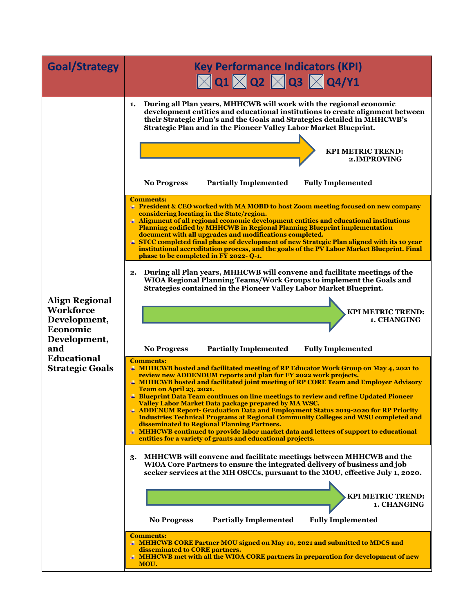| <b>Goal/Strategy</b>                                                                                                                         | <b>Key Performance Indicators (KPI)</b><br>$\boxtimes$ Q1 $\boxtimes$ Q2 $\boxtimes$ Q3 $\boxtimes$ Q4/Y1                                                                                                                                                                                                                                                                                                                                                                                                                                                                                                                                                                                                                                                                                                                                                                                                                                                                                                                                                                                                                                                                                                                                                                                                                                                                                                                                                                                                                                                                                                                                                                                                                                                                                                                                                                                                                                                                                                                                                                                                                                                                                                                                                                                                                                                                                                                                                                                                                                                                               |
|----------------------------------------------------------------------------------------------------------------------------------------------|-----------------------------------------------------------------------------------------------------------------------------------------------------------------------------------------------------------------------------------------------------------------------------------------------------------------------------------------------------------------------------------------------------------------------------------------------------------------------------------------------------------------------------------------------------------------------------------------------------------------------------------------------------------------------------------------------------------------------------------------------------------------------------------------------------------------------------------------------------------------------------------------------------------------------------------------------------------------------------------------------------------------------------------------------------------------------------------------------------------------------------------------------------------------------------------------------------------------------------------------------------------------------------------------------------------------------------------------------------------------------------------------------------------------------------------------------------------------------------------------------------------------------------------------------------------------------------------------------------------------------------------------------------------------------------------------------------------------------------------------------------------------------------------------------------------------------------------------------------------------------------------------------------------------------------------------------------------------------------------------------------------------------------------------------------------------------------------------------------------------------------------------------------------------------------------------------------------------------------------------------------------------------------------------------------------------------------------------------------------------------------------------------------------------------------------------------------------------------------------------------------------------------------------------------------------------------------------------|
| <b>Align Regional</b><br><b>Workforce</b><br>Development,<br>Economic<br>Development,<br>and<br><b>Educational</b><br><b>Strategic Goals</b> | During all Plan years, MHHCWB will work with the regional economic<br>1.<br>development entities and educational institutions to create alignment between<br>their Strategic Plan's and the Goals and Strategies detailed in MHHCWB's<br>Strategic Plan and in the Pioneer Valley Labor Market Blueprint.<br><b>KPI METRIC TREND:</b><br>2. IMPROVING<br><b>Partially Implemented</b><br><b>No Progress</b><br><b>Fully Implemented</b><br><b>Comments:</b><br><b>Fig. 2</b> President & CEO worked with MA MOBD to host Zoom meeting focused on new company<br>considering locating in the State/region.<br># Alignment of all regional economic development entities and educational institutions<br><b>Planning codified by MHHCWB in Regional Planning Blueprint implementation</b><br>document with all upgrades and modifications completed.<br><b># STCC completed final phase of development of new Strategic Plan aligned with its 10 year</b><br>institutional accreditation process, and the goals of the PV Labor Market Blueprint. Final<br>phase to be completed in FY 2022-Q-1.<br>During all Plan years, MHHCWB will convene and facilitate meetings of the<br>2.<br>WIOA Regional Planning Teams/Work Groups to implement the Goals and<br>Strategies contained in the Pioneer Valley Labor Market Blueprint.<br><b>KPI METRIC TREND:</b><br>1. CHANGING<br><b>Partially Implemented</b><br><b>Fully Implemented</b><br><b>No Progress</b><br><b>Comments:</b><br>+ MHHCWB hosted and facilitated meeting of RP Educator Work Group on May 4, 2021 to<br>review new ADDENDUM reports and plan for FY 2022 work projects.<br><b># MHHCWB hosted and facilitated joint meeting of RP CORE Team and Employer Advisory</b><br><b>Team on April 23, 2021.</b><br># Blueprint Data Team continues on line meetings to review and refine Updated Pioneer<br>Valley Labor Market Data package prepared by MA WSC.<br>+ ADDENUM Report- Graduation Data and Employment Status 2019-2020 for RP Priority<br><b>Industries Technical Programs at Regional Community Colleges and WSU completed and</b><br>disseminated to Regional Planning Partners.<br># MHHCWB continued to provide labor market data and letters of support to educational<br>entities for a variety of grants and educational projects.<br>MHHCWB will convene and facilitate meetings between MHHCWB and the<br>3.<br>WIOA Core Partners to ensure the integrated delivery of business and job<br>seeker services at the MH OSCCs, pursuant to the MOU, effective July 1, 2020.<br><b>KPI METRIC TREND:</b> |
|                                                                                                                                              | 1. CHANGING<br><b>Fully Implemented</b><br><b>Partially Implemented</b><br><b>No Progress</b>                                                                                                                                                                                                                                                                                                                                                                                                                                                                                                                                                                                                                                                                                                                                                                                                                                                                                                                                                                                                                                                                                                                                                                                                                                                                                                                                                                                                                                                                                                                                                                                                                                                                                                                                                                                                                                                                                                                                                                                                                                                                                                                                                                                                                                                                                                                                                                                                                                                                                           |
|                                                                                                                                              | <b>Comments:</b><br><b># MHHCWB CORE Partner MOU signed on May 10, 2021 and submitted to MDCS and</b><br>disseminated to CORE partners.<br><b># MHHCWB met with all the WIOA CORE partners in preparation for development of new</b><br>MOU.                                                                                                                                                                                                                                                                                                                                                                                                                                                                                                                                                                                                                                                                                                                                                                                                                                                                                                                                                                                                                                                                                                                                                                                                                                                                                                                                                                                                                                                                                                                                                                                                                                                                                                                                                                                                                                                                                                                                                                                                                                                                                                                                                                                                                                                                                                                                            |